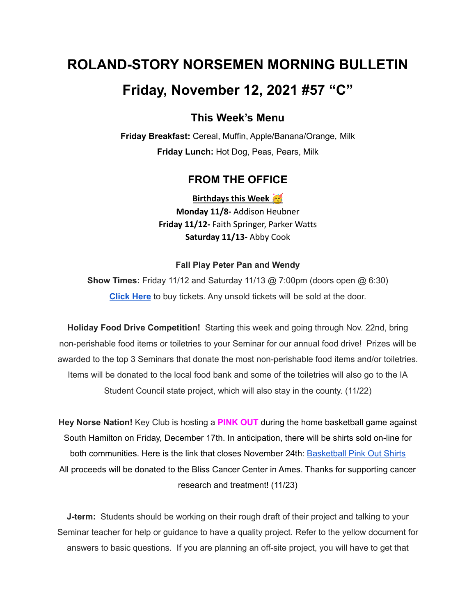# **ROLAND-STORY NORSEMEN MORNING BULLETIN**

# **Friday, November 12, 2021 #57 "C"**

## **This Week's Menu**

**Friday Breakfast:** Cereal, Muffin, Apple/Banana/Orange, Milk **Friday Lunch:** Hot Dog, Peas, Pears, Milk

### **FROM THE OFFICE**

**Birthdays this Week Monday 11/8-** Addison Heubner **Friday 11/12-** Faith Springer, Parker Watts **Saturday 11/13-** Abby Cook

#### **Fall Play Peter Pan and Wendy**

**Show Times:** Friday 11/12 and Saturday 11/13 @ 7:00pm (doors open @ 6:30) **[Click](https://events.ticketspicket.com/agency/a61f75f7-997a-4241-b0ab-0eae5600323f/events/34ddee80-503d-4381-8290-4e7cba8bb997) Here** to buy tickets. Any unsold tickets will be sold at the door.

**Holiday Food Drive Competition!** Starting this week and going through Nov. 22nd, bring non-perishable food items or toiletries to your Seminar for our annual food drive! Prizes will be awarded to the top 3 Seminars that donate the most non-perishable food items and/or toiletries. Items will be donated to the local food bank and some of the toiletries will also go to the IA Student Council state project, which will also stay in the county. (11/22)

**Hey Norse Nation!** Key Club is hosting a **PINK OUT** during the home basketball game against South Hamilton on Friday, December 17th. In anticipation, there will be shirts sold on-line for both communities. Here is the link that closes November 24th: [Basketball](https://rsshcvc21.itemorder.com/shop/sale/?saleCode=VJQ3K) Pink Out Shirts All proceeds will be donated to the Bliss Cancer Center in Ames. Thanks for supporting cancer research and treatment! (11/23)

**J-term:** Students should be working on their rough draft of their project and talking to your Seminar teacher for help or guidance to have a quality project. Refer to the yellow document for answers to basic questions. If you are planning an off-site project, you will have to get that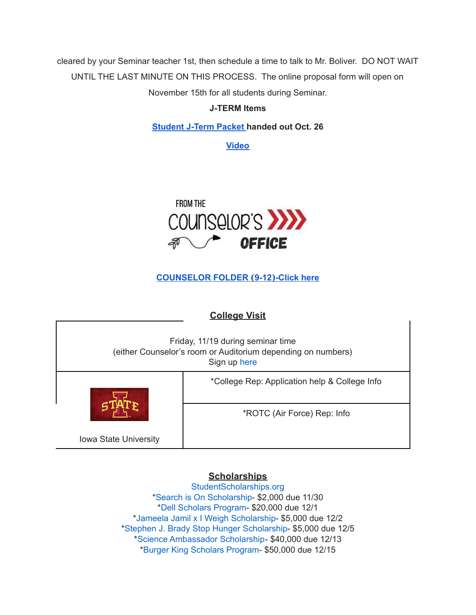cleared by your Seminar teacher 1st, then schedule a time to talk to Mr. Boliver. DO NOT WAIT UNTIL THE LAST MINUTE ON THIS PROCESS. The online proposal form will open on November 15th for all students during Seminar.

### **J-TERM Items**

**[Student](https://drive.google.com/file/d/1h6QugcDvlDevR3f9EywbUQrqVqyCPD5n/view?usp=sharing) J-Term Packet handed out Oct. 26**

**[Video](https://drive.google.com/file/d/1-IjAQRz891m66mXs_V_s9qC8_1HN0Jw_/view?usp=sharing)**



## **[COUNSELOR](https://docs.google.com/document/d/1vmwczNPbDzXe9vFaG5LJMQ7NYDv-i4oQJHybqA65TUc/edit?usp=sharing) FOLDER (9-12)-Click here**

## **College Visit**

| Friday, 11/19 during seminar time<br>(either Counselor's room or Auditorium depending on numbers)<br>Sign up here |                                               |
|-------------------------------------------------------------------------------------------------------------------|-----------------------------------------------|
|                                                                                                                   | *College Rep: Application help & College Info |
|                                                                                                                   | *ROTC (Air Force) Rep: Info                   |
| <b>Iowa State University</b>                                                                                      |                                               |

## **Scholarships**

[StudentScholarships.org](https://drive.google.com/file/d/1vNlRtrk0wQiX1jPIPjpUVHhi5zFlcRvw/view?usp=sharing) \*Search is On [Scholarship](https://studentscholarships.org/scholarship/19120/search_is_on_scholarship_scholarship.php)- \$2,000 due 11/30 \*Dell [Scholars](https://studentscholarships.org/scholarship/9745/dell_scholars_program_scholarship.php) Program- \$20,000 due 12/1 \*Jameela Jamil x I Weigh [Scholarship-](https://studentscholarships.org/scholarship/19302/jameela_jamil_x_i_weigh_scholarship_scholarship.php) \$5,000 due 12/2 \*Stephen J. Brady Stop Hunger [Scholarship-](https://studentscholarships.org/scholarship/8850/stephen_j_brady_stop_hunger_scholarships_scholarship.php) \$5,000 due 12/5 \*Science [Ambassador](https://studentscholarships.org/scholarship/14669/science_ambassador_scholarship_scholarship.php) Scholarship- \$40,000 due 12/13 \*Burger King [Scholars](https://studentscholarships.org/scholarship/10533/burger_king_scholars_program_scholarship.php) Program- \$50,000 due 12/15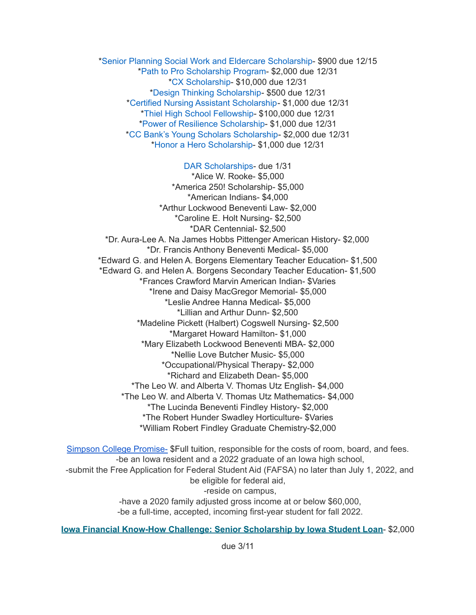\*Senior Planning Social Work and Eldercare [Scholarship](https://studentscholarships.org/scholarship/11393/senior_planning_social_scholarship.php)- \$900 due 12/15 \*Path to Pro [Scholarship](https://studentscholarships.org/scholarship/19069/path_to_pro_scholarship_program_scholarship.php) Program- \$2,000 due 12/31 \*CX [Scholarship-](https://studentscholarships.org/scholarship/19320/cx_scholarship_scholarship.php) \$10,000 due 12/31 \*Design Thinking [Scholarship](https://studentscholarships.org/scholarship/11010/design_thinking_scholarship_scholarship.php)- \$500 due 12/31 \*Certified Nursing Assistant [Scholarship-](https://studentscholarships.org/scholarship/19122/certified_nursing_assistant_scholarship_scholarship.php) \$1,000 due 12/31 \*Thiel High School [Fellowship](https://studentscholarships.org/scholarship/14065/thiel_fellowship_scholarship.php)- \$100,000 due 12/31 \*Power of Resilience [Scholarship-](https://studentscholarships.org/scholarship/14792/power_of_resilience_scholarship_scholarship.php) \$1,000 due 12/31 \*CC Bank's Young Scholars [Scholarship-](https://studentscholarships.org/scholarship/13729/cc_bank_s_young_scholars_scholarship_scholarship.php) \$2,000 due 12/31 \*Honor a Hero [Scholarship](https://studentscholarships.org/scholarship/19015/honor_a_hero_scholarship_scholarship.php)- \$1,000 due 12/31

DAR [Scholarships-](https://dar.academicworks.com/) due 1/31 \*Alice W. Rooke- \$5,000 \*America 250! Scholarship- \$5,000 \*American Indians- \$4,000 \*Arthur Lockwood Beneventi Law- \$2,000 \*Caroline E. Holt Nursing- \$2,500 \*DAR Centennial- \$2,500 \*Dr. Aura-Lee A. Na James Hobbs Pittenger American History- \$2,000 \*Dr. Francis Anthony Beneventi Medical- \$5,000 \*Edward G. and Helen A. Borgens Elementary Teacher Education- \$1,500 \*Edward G. and Helen A. Borgens Secondary Teacher Education- \$1,500 \*Frances Crawford Marvin American Indian- \$Varies \*Irene and Daisy MacGregor Memorial- \$5,000 \*Leslie Andree Hanna Medical- \$5,000 \*Lillian and Arthur Dunn- \$2,500 \*Madeline Pickett (Halbert) Cogswell Nursing- \$2,500 \*Margaret Howard Hamilton- \$1,000 \*Mary Elizabeth Lockwood Beneventi MBA- \$2,000 \*Nellie Love Butcher Music- \$5,000 \*Occupational/Physical Therapy- \$2,000 \*Richard and Elizabeth Dean- \$5,000 \*The Leo W. and Alberta V. Thomas Utz English- \$4,000 \*The Leo W. and Alberta V. Thomas Utz Mathematics- \$4,000 \*The Lucinda Beneventi Findley History- \$2,000 \*The Robert Hunder Swadley Horticulture- \$Varies \*William Robert Findley Graduate Chemistry-\$2,000

Simpson College [Promise-](https://simpson.edu/admission-aid/tuition-aid/simpson-promise) \$Full tuition, responsible for the costs of room, board, and fees. -be an Iowa resident and a 2022 graduate of an Iowa high school, -submit the Free Application for Federal Student Aid (FAFSA) no later than July 1, 2022, and be eligible for federal aid, -reside on campus, -have a 2020 family adjusted gross income at or below \$60,000, -be a full-time, accepted, incoming first-year student for fall 2022.

**Iowa Financial Know-How Challenge: Senior [Scholarship](https://www.iowastudentloan.org/scholarships/high-school-senior-scholarship.aspx?ref=gcpromo&cid=gcpromo&utm_source=iahs&utm_medium=referral&utm_campaign=iasrsch&utm_content=enter) by Iowa Student Loan**- \$2,000

due 3/11